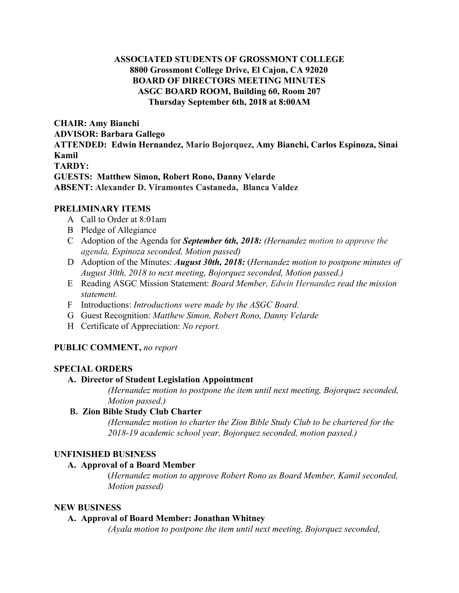## **ASSOCIATED STUDENTS OF GROSSMONT COLLEGE 8800 Grossmont College Drive, El Cajon, CA 92020 BOARD OF DIRECTORS MEETING MINUTES ASGC BOARD ROOM, Building 60, Room 207 Thursday September 6th, 2018 at 8:00AM**

**CHAIR: Amy Bianchi ADVISOR: Barbara Gallego ATTENDED: Edwin Hernandez, Mario Bojorquez, Amy Bianchi, Carlos Espinoza, Sinai Kamil TARDY: GUESTS: Matthew Simon, Robert Rono, Danny Velarde ABSENT: Alexander D. Viramontes Castaneda, Blanca Valdez**

### **PRELIMINARY ITEMS**

- A Call to Order at 8:01am
- B Pledge of Allegiance
- C Adoption of the Agenda for *September 6th, 2018: (Hernandez motion to approve the agenda, Espinoza seconded, Motion passed)*
- D Adoption of the Minutes: *August 30th, 2018:* ( *Hernandez motion to postpone minutes of August 30th, 2018 to next meeting, Bojorquez seconded, Motion passed.)*
- E Reading ASGC Mission Statement: *Board Member, Edwin Hernandez read the mission statement.*
- F Introductions: *Introductions were made by the ASGC Board.*
- G Guest Recognition: *Matthew Simon, Robert Rono, Danny Velarde*
- H Certificate of Appreciation: *No report.*

## **PUBLIC COMMENT,** *no report*

#### **SPECIAL ORDERS**

#### **A. Director of Student Legislation Appointment**

*(Hernandez motion to postpone the item until next meeting, Bojorquez seconded, Motion passed.)*

## **B. Zion Bible Study Club Charter**

*(Hernandez motion to charter the Zion Bible Study Club to be chartered for the 2018-19 academic school year, Bojorquez seconded, motion passed.)*

## **UNFINISHED BUSINESS**

#### **A. Approval of a Board Member**

(*Hernandez motion to approve Robert Rono as Board Member, Kamil seconded, Motion passed)*

#### **NEW BUSINESS**

#### **A. Approval of Board Member: Jonathan Whitney**

*(Ayala motion to postpone the item until next meeting, Bojorquez seconded,*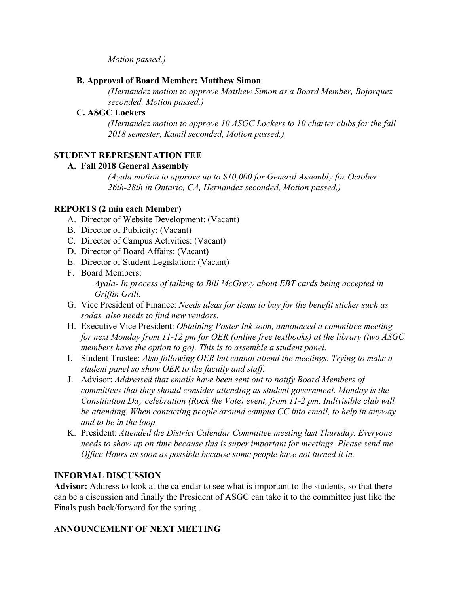*Motion passed.)*

## **B. Approval of Board Member: Matthew Simon**

*(Hernandez motion to approve Matthew Simon as a Board Member, Bojorquez seconded, Motion passed.)*

## **C. ASGC Lockers**

*(Hernandez motion to approve 10 ASGC Lockers to 10 charter clubs for the fall 2018 semester, Kamil seconded, Motion passed.)*

# **STUDENT REPRESENTATION FEE**

## **A. Fall 2018 General Assembly**

*(Ayala motion to approve up to \$10,000 for General Assembly for October 26th-28th in Ontario, CA, Hernandez seconded, Motion passed.)*

## **REPORTS (2 min each Member)**

- A. Director of Website Development: (Vacant)
- B. Director of Publicity: (Vacant)
- C. Director of Campus Activities: (Vacant)
- D. Director of Board Affairs: (Vacant)
- E. Director of Student Legislation: (Vacant)
- F. Board Members:

*Ayala- In process of talking to Bill McGrevy about EBT cards being accepted in Griffin Grill.*

- G. Vice President of Finance: *Needs ideas for items to buy for the benefit sticker such as sodas, also needs to find new vendors.*
- H. Executive Vice President: *Obtaining Poster Ink soon, announced a committee meeting for next Monday from 11-12 pm for OER (online free textbooks) at the library (two ASGC members have the option to go). This is to assemble a student panel.*
- I. Student Trustee: *Also following OER but cannot attend the meetings. Trying to make a student panel so show OER to the faculty and staff.*
- J. Advisor: *Addressed that emails have been sent out to notify Board Members of committees that they should consider attending as student government. Monday is the Constitution Day celebration (Rock the Vote) event, from 11-2 pm, Indivisible club will be attending. When contacting people around campus CC into email, to help in anyway and to be in the loop.*
- K. President: *Attended the District Calendar Committee meeting last Thursday. Everyone needs to show up on time because this is super important for meetings. Please send me Office Hours as soon as possible because some people have not turned it in.*

# **INFORMAL DISCUSSION**

**Advisor:** Address to look at the calendar to see what is important to the students, so that there can be a discussion and finally the President of ASGC can take it to the committee just like the Finals push back/forward for the spring*.*.

# **ANNOUNCEMENT OF NEXT MEETING**